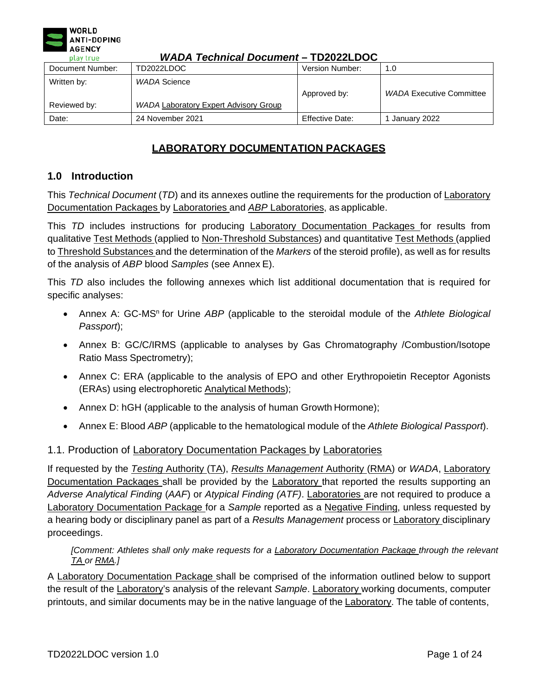

# **LABORATORY DOCUMENTATION PACKAGES**

# **1.0 Introduction**

This *Technical Document* (*TD*) and its annexes outline the requirements for the production of Laboratory Documentation Packages by Laboratories and *ABP* Laboratories, as applicable.

This *TD* includes instructions for producing Laboratory Documentation Packages for results from qualitative Test Methods (applied to Non-Threshold Substances) and quantitative Test Methods (applied to Threshold Substances and the determination of the *Markers* of the steroid profile), as well as for results of the analysis of *ABP* blood *Samples* (see Annex E).

This *TD* also includes the following annexes which list additional documentation that is required for specific analyses:

- Annex A: GC-MS<sup>n</sup> for Urine ABP [\(applicable to the steroidal module of the](#page-7-0) Athlete Biological *[Passport](#page-7-0)*);
- [Annex B: GC/C/IRMS \(applicable to analyses by Gas Chromatography /Combustion/Isotope](#page-12-0) Ratio Mass [Spectrometry\);](#page-12-0)
- [Annex C: ERA \(applicable to the analysis of EPO and other Erythropoietin Receptor Agonists](#page-14-0) [\(ERAs\) using electrophoretic Analytical](#page-14-0) Methods);
- [Annex D: hGH \(applicable to the analysis of human Growth](#page-17-0) Hormone);
- Annex E: Blood *ABP* (applicable to the [hematological](#page-20-0) module of the *Athlete Biological Passport*).

### 1.1. Production of Laboratory Documentation Packages by Laboratories

If requested by the *Testing* Authority (TA), *Results Management* Authority (RMA) or *WADA*, Laboratory Documentation Packages shall be provided by the Laboratory that reported the results supporting an *Adverse Analytical Finding* (*AAF*) or *Atypical Finding (ATF)*. Laboratories are not required to produce a Laboratory Documentation Package for a *Sample* reported as a Negative Finding, unless requested by a hearing body or disciplinary panel as part of a *Results Management* process or Laboratory disciplinary proceedings.

### *[Comment: Athletes shall only make requests for a Laboratory Documentation Package through the relevant TA or RMA.]*

A Laboratory Documentation Package shall be comprised of the information outlined below to support the result of the Laboratory's analysis of the relevant *Sample*. Laboratory working documents, computer printouts, and similar documents may be in the native language of the Laboratory. The table of contents,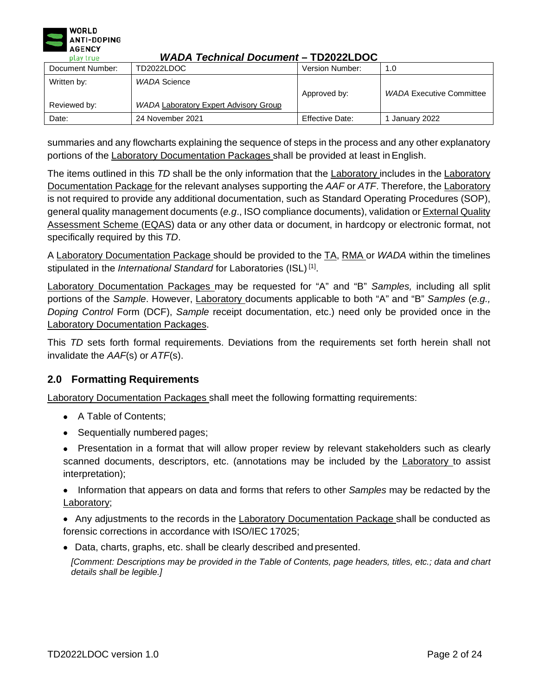

| Document Number: | TD2022LDOC                                   | Version Number:        | 1.0                             |
|------------------|----------------------------------------------|------------------------|---------------------------------|
| Written by:      | WADA Science                                 | Approved by:           | <b>WADA Executive Committee</b> |
| Reviewed by:     | <b>WADA Laboratory Expert Advisory Group</b> |                        |                                 |
| Date:            | 24 November 2021                             | <b>Effective Date:</b> | January 2022                    |

summaries and any flowcharts explaining the sequence of steps in the process and any other explanatory portions of the Laboratory Documentation Packages shall be provided at least in English.

The items outlined in this *TD* shall be the only information that the Laboratory includes in the Laboratory Documentation Package for the relevant analyses supporting the *AAF* or *ATF*. Therefore, the Laboratory is not required to provide any additional documentation, such as Standard Operating Procedures (SOP), general quality management documents (*e.g*., ISO compliance documents), validation or External Quality Assessment Scheme (EQAS) data or any other data or document, in hardcopy or electronic format, not specifically required by this *TD*.

A Laboratory Documentation Package should be provided to the TA, RMA or *WADA* within the timelines stipulated in the *International Standard* for Laboratories (ISL) [1].

Laboratory Documentation Packages may be requested for "A" and "B" *Samples,* including all split portions of the *Sample*. However, Laboratory documents applicable to both "A" and "B" *Samples* (*e.g., Doping Control* Form (DCF), *Sample* receipt documentation, etc.) need only be provided once in the Laboratory Documentation Packages.

This *TD* sets forth formal requirements. Deviations from the requirements set forth herein shall not invalidate the *AAF*(s) or *ATF*(s).

# **2.0 Formatting Requirements**

Laboratory Documentation Packages shall meet the following formatting requirements:

- A Table of Contents;
- Sequentially numbered pages;
- Presentation in a format that will allow proper review by relevant stakeholders such as clearly scanned documents, descriptors, etc. (annotations may be included by the Laboratory to assist interpretation);

• Information that appears on data and forms that refers to other *Samples* may be redacted by the Laboratory;

• Any adjustments to the records in the Laboratory Documentation Package shall be conducted as forensic corrections in accordance with ISO/IEC 17025;

• Data, charts, graphs, etc. shall be clearly described and presented.

*[Comment: Descriptions may be provided in the Table of Contents, page headers, titles, etc.; data and chart details shall be legible.]*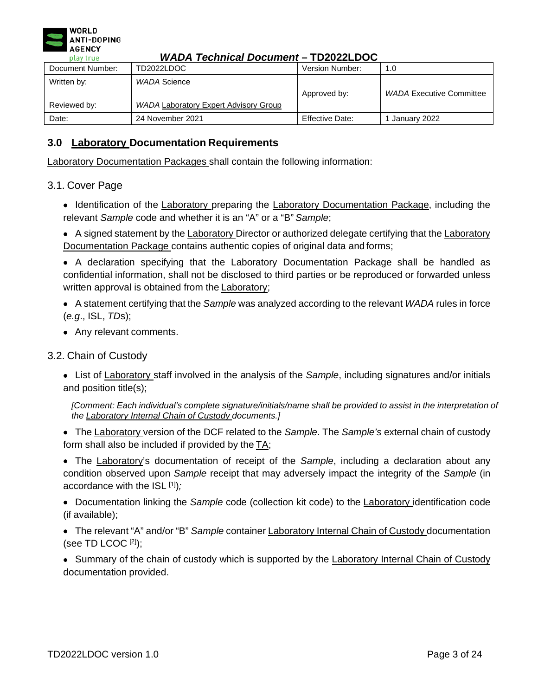

| Document Number:            | TD2022LDOC                                            | Version Number: | 1.0                             |
|-----------------------------|-------------------------------------------------------|-----------------|---------------------------------|
| Written by:<br>Reviewed by: | WADA Science<br>WADA Laboratory Expert Advisory Group | Approved by:    | <b>WADA Executive Committee</b> |
|                             |                                                       |                 |                                 |
| Date:                       | 24 November 2021                                      | Effective Date: | January 2022                    |

# **3.0 Laboratory Documentation Requirements**

Laboratory Documentation Packages shall contain the following information:

# 3.1. Cover Page

• Identification of the Laboratory preparing the Laboratory Documentation Package, including the relevant *Sample* code and whether it is an "A" or a "B" *Sample*;

• A signed statement by the Laboratory Director or authorized delegate certifying that the Laboratory Documentation Package contains authentic copies of original data and forms;

• A declaration specifying that the Laboratory Documentation Package shall be handled as confidential information, shall not be disclosed to third parties or be reproduced or forwarded unless written approval is obtained from the Laboratory;

- A statement certifying that the *Sample* was analyzed according to the relevant *WADA* rules in force (*e.g*., ISL, *TD*s);
- Any relevant comments.

# 3.2. Chain of Custody

• List of Laboratory staff involved in the analysis of the *Sample*, including signatures and/or initials and position title(s);

*[Comment: Each individual's complete signature/initials/name shall be provided to assist in the interpretation of the Laboratory Internal Chain of Custody documents.]*

• The Laboratory version of the DCF related to the *Sample*. The *Sample's* external chain of custody form shall also be included if provided by the  $TA$ ;

• The Laboratory's documentation of receipt of the *Sample*, including a declaration about any condition observed upon *Sample* receipt that may adversely impact the integrity of the *Sample* (in accordance with the ISL [1])*;*

• Documentation linking the *Sample* code (collection kit code) to the Laboratory identification code (if available);

- The relevant "A" and/or "B" *Sample* container Laboratory Internal Chain of Custody documentation (see TD LCOC  $[2]$ );
- Summary of the chain of custody which is supported by the Laboratory Internal Chain of Custody documentation provided.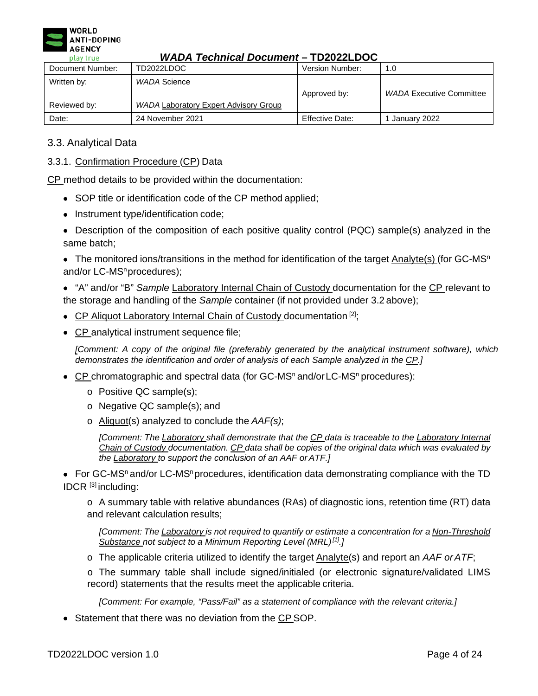

| Document Number: | TD2022LDOC                                   | Version Number:        | 1.0                             |
|------------------|----------------------------------------------|------------------------|---------------------------------|
| Written by:      | WADA Science                                 | Approved by:           | <b>WADA Executive Committee</b> |
| Reviewed by:     | <b>WADA Laboratory Expert Advisory Group</b> |                        |                                 |
| Date:            | 24 November 2021                             | <b>Effective Date:</b> | January 2022                    |

# 3.3. Analytical Data

3.3.1. Confirmation Procedure (CP) Data

CP method details to be provided within the documentation:

- SOP title or identification code of the CP method applied;
- Instrument type/identification code;
- Description of the composition of each positive quality control (PQC) sample(s) analyzed in the same batch;

• The monitored ions/transitions in the method for identification of the target Analyte(s) (for  $GC\text{-}MS^n$ and/or LC-MS<sup>n</sup>procedures);

• "A" and/or "B" *Sample* Laboratory Internal Chain of Custody documentation for the CP relevant to the storage and handling of the *Sample* container (if not provided under 3.2 above);

- CP Aliquot Laboratory Internal Chain of Custody documentation  $[2]$ ;
- CP analytical instrument sequence file;

*[Comment: A copy of the original file (preferably generated by the analytical instrument software), which demonstrates the identification and order of analysis of each Sample analyzed in the CP.]*

- CP chromatographic and spectral data (for GC-MS<sup>n</sup> and/or LC-MS<sup>n</sup> procedures):
	- o Positive QC sample(s);
	- o Negative QC sample(s); and
	- o Aliquot(s) analyzed to conclude the *AAF(s)*;

*[Comment: The Laboratory shall demonstrate that the CP data is traceable to the Laboratory Internal Chain of Custody documentation. CP data shall be copies of the original data which was evaluated by the Laboratory to support the conclusion of an AAF or ATF.]*

• For GC-MS<sup>n</sup> and/or LC-MS<sup>n</sup> procedures, identification data demonstrating compliance with the TD IDCR [3] including:

o A summary table with relative abundances (RAs) of diagnostic ions, retention time (RT) data and relevant calculation results;

*[Comment: The Laboratory is not required to quantify or estimate a concentration for a Non-Threshold Substance not subject to a Minimum Reporting Level (MRL)[1].]*

o The applicable criteria utilized to identify the target Analyte(s) and report an *AAF orATF*;

o The summary table shall include signed/initialed (or electronic signature/validated LIMS record) statements that the results meet the applicable criteria.

*[Comment: For example, "Pass/Fail" as a statement of compliance with the relevant criteria.]*

• Statement that there was no deviation from the CP SOP.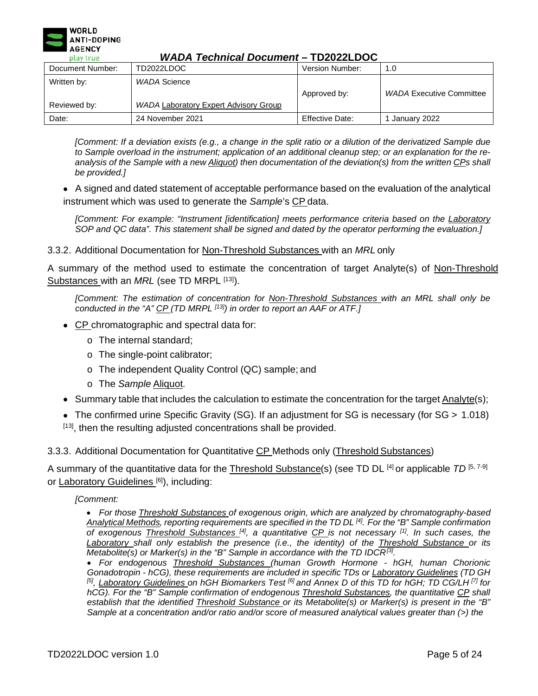

| Document Number:            | TD2022LDOC                                                   | Version Number: | 1.0                             |  |
|-----------------------------|--------------------------------------------------------------|-----------------|---------------------------------|--|
| Written by:<br>Reviewed by: | WADA Science<br><b>WADA Laboratory Expert Advisory Group</b> | Approved by:    | <b>WADA Executive Committee</b> |  |
| Date:                       | 24 November 2021                                             | Effective Date: | January 2022                    |  |

*[Comment: If a deviation exists (e.g., a change in the split ratio or a dilution of the derivatized Sample due*  to Sample overload in the instrument; application of an additional cleanup step; or an explanation for the reanalysis of the Sample with a new Aliquot) then documentation of the deviation(s) from the written CPs shall *be provided.]*

• A signed and dated statement of acceptable performance based on the evaluation of the analytical instrument which was used to generate the *Sample*'s CP data.

*[Comment: For example: "Instrument [identification] meets performance criteria based on the Laboratory SOP and QC data". This statement shall be signed and dated by the operator performing the evaluation.]*

### 3.3.2. Additional Documentation for Non-Threshold Substances with an *MRL* only

A summary of the method used to estimate the concentration of target Analyte(s) of Non-Threshold Substances with an *MRL* (see TD MRPL [13]).

*[Comment: The estimation of concentration for Non-Threshold Substances with an MRL shall only be conducted in the "A" CP (TD MRPL [13]) in order to report an AAF or ATF.]*

- CP chromatographic and spectral data for:
	- o The internal standard;
	- o The single-point calibrator;
	- o The independent Quality Control (QC) sample; and
	- o The *Sample* Aliquot.
- Summary table that includes the calculation to estimate the concentration for the target Analyte(s);
- The confirmed urine Specific Gravity (SG). If an adjustment for SG is necessary (for SG > 1.018) [13], then the resulting adjusted concentrations shall be provided.

### 3.3.3. Additional Documentation for Quantitative CP Methods only (Threshold Substances)

A summary of the quantitative data for the Threshold Substance(s) (see TD DL [4] or applicable *TD* [5, 7-9] or Laboratory Guidelines<sup>[6]</sup>), including:

### *[Comment:*

• *For those Threshold Substances of exogenous origin, which are analyzed by chromatography-based Analytical Methods, reporting requirements are specified in the TD DL [4]. For the "B" Sample confirmation of exogenous Threshold Substances [4], a quantitative CP is not necessary [1]. In such cases, the Laboratory shall only establish the presence (i.e., the identity) of the Threshold Substance or its Metabolite(s) or Marker(s) in the "B" Sample in accordance with the TD IDCR[3].*

• *For endogenous Threshold Substances (human Growth Hormone - hGH, human Chorionic Gonadotropin - hCG), these requirements are included in specific TDs or Laboratory Guidelines (TD GH* [5], Laboratory Guidelines on hGH Biomarkers Test <sup>[6]</sup> and Annex D of this TD for hGH; TD CG/LH<sup>[7]</sup> for *hCG). For the "B" Sample confirmation of endogenous Threshold Substances, the quantitative CP shall establish that the identified Threshold Substance or its Metabolite(s) or Marker(s) is present in the "B" Sample at a concentration and/or ratio and/or score of measured analytical values greater than (>) the*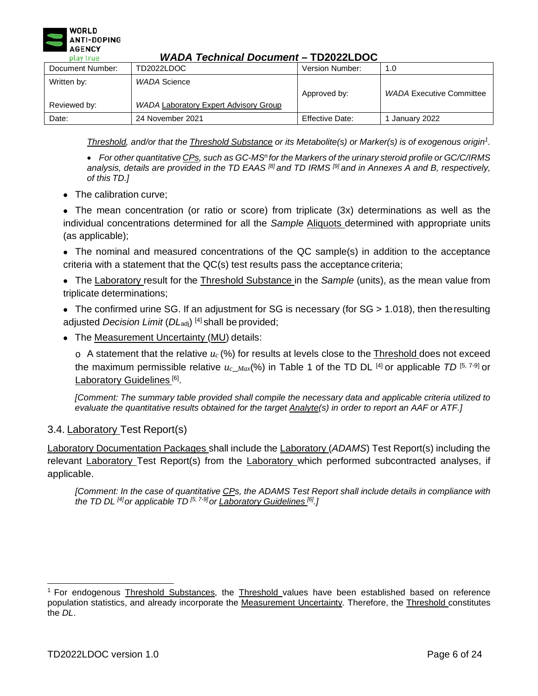

|                  |                                       | . <i>. .</i>    |                                 |
|------------------|---------------------------------------|-----------------|---------------------------------|
| Document Number: | TD2022LDOC                            | Version Number: | 1.0                             |
| Written by:      | WADA Science                          | Approved by:    | <b>WADA Executive Committee</b> |
| Reviewed by:     | WADA Laboratory Expert Advisory Group |                 |                                 |
| Date:            | 24 November 2021                      | Effective Date: | January 2022                    |

*Threshold, and/or that the Threshold Substance or its Metabolite(s) or Marker(s) is of exogenous origi[n](#page-5-0)<sup>1</sup> .*

• For other quantitative CPs, such as GC-MS<sup>n</sup> for the Markers of the urinary steroid profile or GC/C/IRMS *analysis, details are provided in the TD EAAS [8] and TD IRMS [9] and in Annexes A and B, respectively, of this TD.]*

• The calibration curve:

• The mean concentration (or ratio or score) from triplicate (3x) determinations as well as the individual concentrations determined for all the *Sample* Aliquots determined with appropriate units (as applicable);

• The nominal and measured concentrations of the QC sample(s) in addition to the acceptance criteria with a statement that the QC(s) test results pass the acceptance criteria;

• The Laboratory result for the Threshold Substance in the *Sample* (units), as the mean value from triplicate determinations;

• The confirmed urine SG. If an adjustment for SG is necessary (for SG > 1.018), then the resulting adjusted *Decision Limit* (*DL*<sub>adj</sub>)<sup>[4]</sup> shall be provided;

• The Measurement Uncertainty (MU) details:

 $\circ$  A statement that the relative  $u_c$  (%) for results at levels close to the Threshold does not exceed the maximum permissible relative  $u_c$ <sub>*Max*</sub>(%) in Table 1 of the TD DL <sup>[4]</sup> or applicable *TD* [5, 7-9] or Laboratory Guidelines<sup>[6]</sup>.

*[Comment: The summary table provided shall compile the necessary data and applicable criteria utilized to evaluate the quantitative results obtained for the target Analyte(s) in order to report an AAF or ATF.]*

# 3.4. Laboratory Test Report(s)

Laboratory Documentation Packages shall include the Laboratory (*ADAMS*) Test Report(s) including the relevant Laboratory Test Report(s) from the Laboratory which performed subcontracted analyses, if applicable.

[Comment: In the case of quantitative CPs, the ADAMS Test Report shall include details in compliance with *the TD DL [4]or applicable TD [5, 7-9]or Laboratory Guidelines [6].]*

<span id="page-5-0"></span><sup>&</sup>lt;sup>1</sup> For endogenous Threshold Substances, the Threshold values have been established based on reference population statistics, and already incorporate the Measurement Uncertainty. Therefore, the Threshold constitutes the *DL*.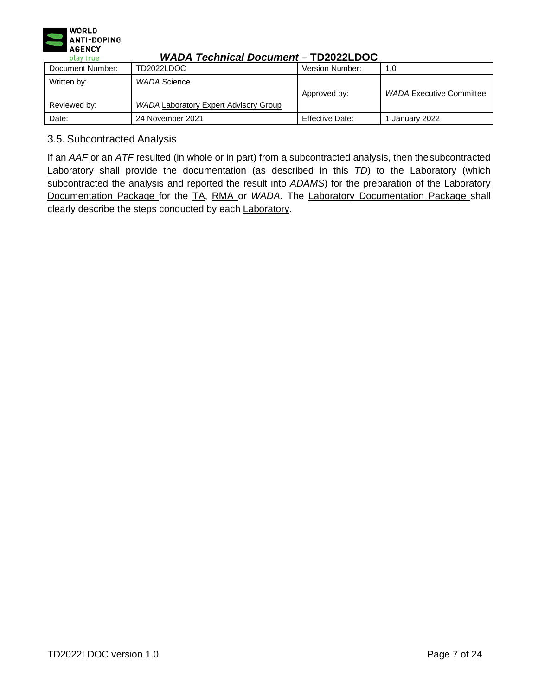

| Document Number: | TD2022LDOC                                   | Version Number: | 1.0                             |
|------------------|----------------------------------------------|-----------------|---------------------------------|
| Written by:      | WADA Science                                 | Approved by:    | <b>WADA Executive Committee</b> |
| Reviewed by:     | <b>WADA Laboratory Expert Advisory Group</b> |                 |                                 |
| Date:            | 24 November 2021                             | Effective Date: | January 2022                    |

# 3.5. Subcontracted Analysis

If an *AAF* or an *ATF* resulted (in whole or in part) from a subcontracted analysis, then thesubcontracted Laboratory shall provide the documentation (as described in this *TD*) to the Laboratory (which subcontracted the analysis and reported the result into ADAMS) for the preparation of the **Laboratory** Documentation Package for the TA, RMA or *WADA*. The Laboratory Documentation Package shall clearly describe the steps conducted by each Laboratory.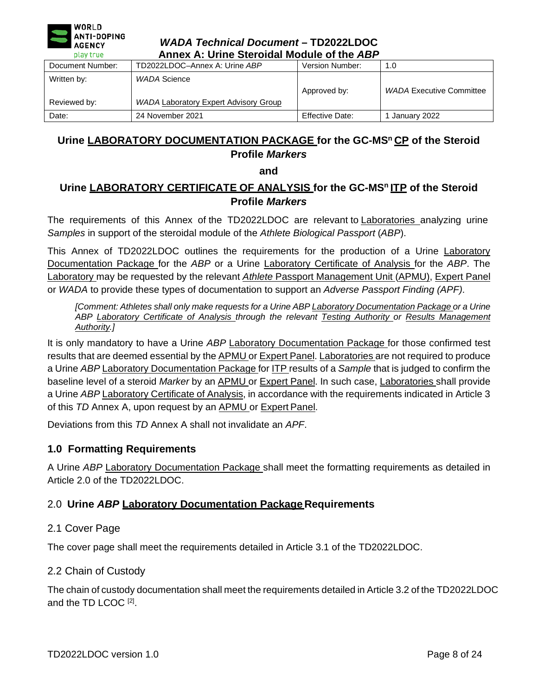

| play true<br>Annex A: Urine Steroldal Module of the ABP |                                                              |                        |                                 |
|---------------------------------------------------------|--------------------------------------------------------------|------------------------|---------------------------------|
| Document Number:                                        | TD2022LDOC-Annex A: Urine ABP                                | Version Number:        | 1.0                             |
| Written by:<br>Reviewed by:                             | WADA Science<br><b>WADA Laboratory Expert Advisory Group</b> | Approved by:           | <b>WADA Executive Committee</b> |
| Date:                                                   | 24 November 2021                                             | <b>Effective Date:</b> | January 2022                    |

# <span id="page-7-0"></span>Urine LABORATORY DOCUMENTATION PACKAGE for the GC-MS<sup>n</sup> CP of the Steroid **Profile** *Markers*

### **and**

# **Urine LABORATORY CERTIFICATE OF ANALYSIS for the GC-MSn ITP of the Steroid Profile** *Markers*

The requirements of this Annex of the TD2022LDOC are relevant to Laboratories analyzing urine *Samples* in support of the steroidal module of the *Athlete Biological Passport* (*ABP*).

This Annex of TD2022LDOC outlines the requirements for the production of a Urine Laboratory Documentation Package for the *ABP* or a Urine Laboratory Certificate of Analysis for the *ABP*. The Laboratory may be requested by the relevant *Athlete* Passport Management Unit (APMU), Expert Panel or *WADA* to provide these types of documentation to support an *Adverse Passport Finding (APF)*.

*[Comment: Athletes shall only make requests for a Urine ABP Laboratory Documentation Package or a Urine ABP Laboratory Certificate of Analysis through the relevant Testing Authority or Results Management Authority.]*

It is only mandatory to have a Urine *ABP* Laboratory Documentation Package for those confirmed test results that are deemed essential by the **APMU** or Expert Panel. Laboratories are not required to produce a Urine *ABP* Laboratory Documentation Package for ITP results of a *Sample* that is judged to confirm the baseline level of a steroid *Marker* by an APMU or Expert Panel. In such case, Laboratories shall provide a Urine *ABP* Laboratory Certificate of Analysis, in accordance with the requirements indicated in Article 3 of this *TD* Annex A, upon request by an APMU or Expert Panel.

Deviations from this *TD* Annex A shall not invalidate an *APF*.

# **1.0 Formatting Requirements**

A Urine *ABP* Laboratory Documentation Package shall meet the formatting requirements as detailed in Article 2.0 of the TD2022LDOC.

# 2.0 **Urine** *ABP* **Laboratory Documentation Package Requirements**

# 2.1 Cover Page

The cover page shall meet the requirements detailed in Article 3.1 of the TD2022LDOC.

# 2.2 Chain of Custody

The chain of custody documentation shall meet the requirements detailed in Article 3.2 of the TD2022LDOC and the TD LCOC [2].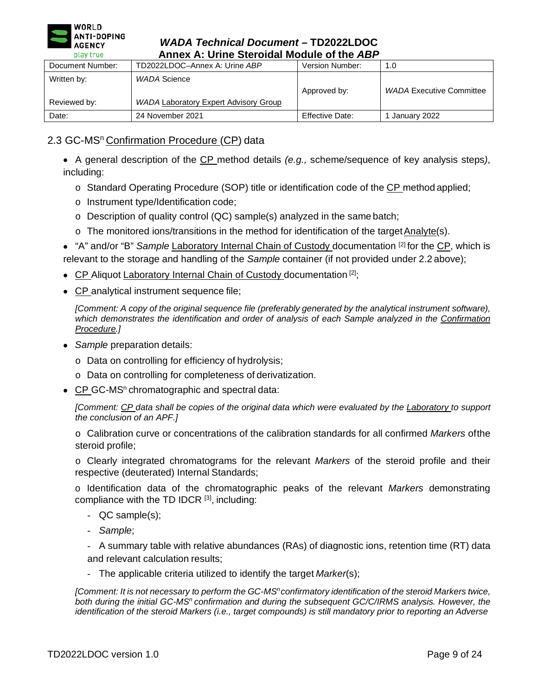

| Annex A: Urine Steroidal Module of the ABP<br>play true |                                                              |                 |                                 |
|---------------------------------------------------------|--------------------------------------------------------------|-----------------|---------------------------------|
| Document Number:                                        | TD2022LDOC-Annex A: Urine ABP                                | Version Number: | 1.0                             |
| Written by:<br>Reviewed by:                             | WADA Science<br><b>WADA Laboratory Expert Advisory Group</b> | Approved by:    | <b>WADA Executive Committee</b> |
| Date:                                                   | 24 November 2021                                             | Effective Date: | I January 2022                  |

# 2.3 GC-MS<sup>n</sup> Confirmation Procedure (CP) data

• A general description of the CP method details *(e.g.,* scheme/sequence of key analysis steps*)*, including:

- $\circ$  Standard Operating Procedure (SOP) title or identification code of the CP method applied;
- o Instrument type/Identification code;
- o Description of quality control (QC) sample(s) analyzed in the same batch;
- o The monitored ions/transitions in the method for identification of the target Analyte(s).

• "A" and/or "B" *Sample* Laboratory Internal Chain of Custody documentation [2] for the CP, which is relevant to the storage and handling of the *Sample* container (if not provided under 2.2 above);

- CP Aliquot Laboratory Internal Chain of Custody documentation<sup>[2]</sup>;
- CP analytical instrument sequence file;

*[Comment: A copy of the original sequence file (preferably generated by the analytical instrument software), which demonstrates the identification and order of analysis of each Sample analyzed in the Confirmation Procedure.]*

- *Sample* preparation details:
	- o Data on controlling for efficiency of hydrolysis;
	- o Data on controlling for completeness of derivatization.
- CP GC-MS<sup>n</sup> chromatographic and spectral data:

*[Comment: CP data shall be copies of the original data which were evaluated by the Laboratory to support the conclusion of an APF.]*

o Calibration curve or concentrations of the calibration standards for all confirmed *Markers* ofthe steroid profile;

o Clearly integrated chromatograms for the relevant *Markers* of the steroid profile and their respective (deuterated) Internal Standards;

o Identification data of the chromatographic peaks of the relevant *Markers* demonstrating compliance with the TD IDCR [3], including:

- QC sample(s);
- *Sample*;

- A summary table with relative abundances (RAs) of diagnostic ions, retention time (RT) data and relevant calculation results;

- The applicable criteria utilized to identify the target *Marker*(s);

*[Comment: It is not necessary to perform the GC-MS<sup>n</sup> confirmatory identification of the steroid Markers twice,* both during the initial GC-MS<sup>n</sup> confirmation and during the subsequent GC/C/IRMS analysis. However, the *identification of the steroid Markers (i.e., target compounds) is still mandatory prior to reporting an Adverse*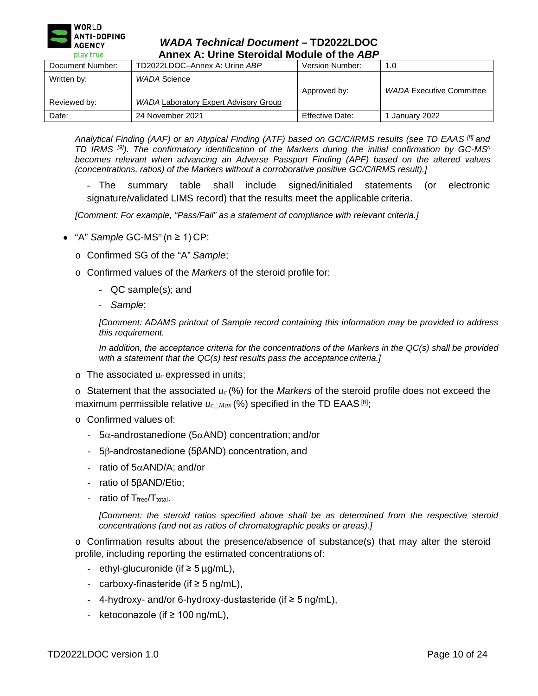

| play true<br>Annex A: Urine Steroldal Module of the ABP |                                                       |                        |                                 |
|---------------------------------------------------------|-------------------------------------------------------|------------------------|---------------------------------|
| Document Number:                                        | TD2022LDOC-Annex A: Urine ABP                         | Version Number:        | 1.0                             |
| Written by:<br>Reviewed by:                             | WADA Science<br>WADA Laboratory Expert Advisory Group | Approved by:           | <b>WADA Executive Committee</b> |
| Date:                                                   | 24 November 2021                                      | <b>Effective Date:</b> | January 2022                    |

*Analytical Finding (AAF) or an Atypical Finding (ATF) based on GC/C/IRMS results (see TD EAAS [8] and TD IRMS [9]). The confirmatory identification of the Markers during the initial confirmation by GC-MSn becomes relevant when advancing an Adverse Passport Finding (APF) based on the altered values (concentrations, ratios) of the Markers without a corroborative positive GC/C/IRMS result).]*

- The summary table shall include signed/initialed statements (or electronic signature/validated LIMS record) that the results meet the applicable criteria.

*[Comment: For example, "Pass/Fail" as a statement of compliance with relevant criteria.]*

- "A" *Sample*  $GC$ -MS<sup>n</sup> (n  $\geq$  1)  $CP$ :
	- o Confirmed SG of the "A" *Sample*;
	- o Confirmed values of the *Markers* of the steroid profile for:
		- QC sample(s); and
		- *Sample*;

*[Comment: ADAMS printout of Sample record containing this information may be provided to address this requirement.*

In addition, the acceptance criteria for the concentrations of the Markers in the QC(s) shall be provided *with a statement that the QC(s) test results pass the acceptance criteria.]*

 $\circ$  The associated  $u_c$  expressed in units;

o Statement that the associated *uc* (%) for the *Markers* of the steroid profile does not exceed the maximum permissible relative  $u_{c\_Max}$  (%) specified in the TD EAAS  $^{[8]}$ ;

- o Confirmed values of:
	- 5α-androstanedione (5αAND) concentration; and/or
	- 5β-androstanedione (5βAND) concentration, and
	- ratio of 5αAND/A; and/or
	- ratio of 5βAND/Etio;
	- ratio of  $T_{\text{free}}/T_{\text{total}}$ .

*[Comment: the steroid ratios specified above shall be as determined from the respective steroid concentrations (and not as ratios of chromatographic peaks or areas).]*

o Confirmation results about the presence/absence of substance(s) that may alter the steroid profile, including reporting the estimated concentrations of:

- ethyl-glucuronide (if ≥ 5 µg/mL),
- carboxy-finasteride (if ≥ 5 ng/mL),
- 4-hydroxy- and/or 6-hydroxy-dustasteride (if  $\geq$  5 ng/mL),
- ketoconazole (if ≥ 100 ng/mL),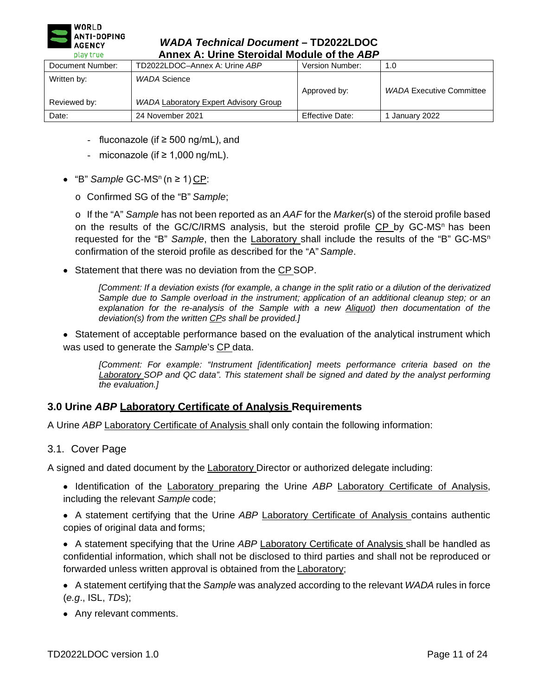

| play true<br>Annex A: Unne Steroldal Module of the ABP |                                                              |                        |                                 |
|--------------------------------------------------------|--------------------------------------------------------------|------------------------|---------------------------------|
| Document Number:                                       | TD2022LDOC-Annex A: Urine ABP                                | Version Number:        | 1.0                             |
| Written by:<br>Reviewed by:                            | WADA Science<br><b>WADA Laboratory Expert Advisory Group</b> | Approved by:           | <b>WADA Executive Committee</b> |
| Date:                                                  | 24 November 2021                                             | <b>Effective Date:</b> | January 2022                    |

- fluconazole (if ≥ 500 ng/mL), and
- miconazole (if ≥ 1,000 ng/mL).
- $•$  "B" *Sample* GC-MS<sup>n</sup> (n ≥ 1) CP:
	- o Confirmed SG of the "B" *Sample*;

o If the "A" *Sample* has not been reported as an *AAF* for the *Marker*(s) of the steroid profile based on the results of the GC/C/IRMS analysis, but the steroid profile CP by GC-MS<sup>n</sup> has been requested for the "B" *Sample*, then the Laboratory shall include the results of the "B" GC-MSn confirmation of the steroid profile as described for the "A" *Sample*.

• Statement that there was no deviation from the CP SOP.

*[Comment: If a deviation exists (for example, a change in the split ratio or a dilution of the derivatized Sample due to Sample overload in the instrument; application of an additional cleanup step; or an explanation for the re-analysis of the Sample with a new Aliquot) then documentation of the deviation(s) from the written CPs shall be provided.]*

• Statement of acceptable performance based on the evaluation of the analytical instrument which was used to generate the *Sample*'s CP data.

*[Comment: For example: "Instrument [identification] meets performance criteria based on the Laboratory SOP and QC data". This statement shall be signed and dated by the analyst performing the evaluation.]*

# **3.0 Urine** *ABP* **Laboratory Certificate of Analysis Requirements**

A Urine *ABP* Laboratory Certificate of Analysis shall only contain the following information:

3.1. Cover Page

A signed and dated document by the **Laboratory Director or authorized delegate including:** 

- Identification of the Laboratory preparing the Urine *ABP* Laboratory Certificate of Analysis, including the relevant *Sample* code;
- A statement certifying that the Urine *ABP* Laboratory Certificate of Analysis contains authentic copies of original data and forms;
- A statement specifying that the Urine *ABP* Laboratory Certificate of Analysis shall be handled as confidential information, which shall not be disclosed to third parties and shall not be reproduced or forwarded unless written approval is obtained from the **Laboratory**;
- A statement certifying that the *Sample* was analyzed according to the relevant *WADA* rules in force (*e.g*., ISL, *TD*s);
- Any relevant comments.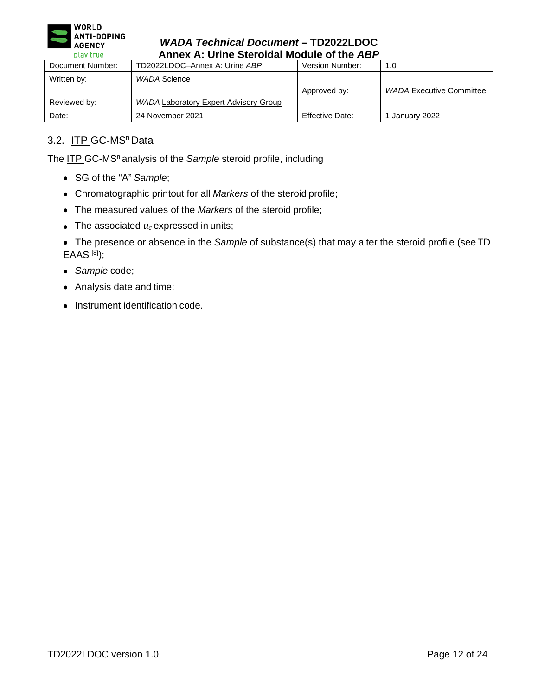

| play true<br>Annex A: Urine Steroldal Module of the ABP |                                                              |                 |                                 |
|---------------------------------------------------------|--------------------------------------------------------------|-----------------|---------------------------------|
| Document Number:                                        | TD2022LDOC-Annex A: Urine ABP                                | Version Number: | 1.0                             |
| Written by:<br>Reviewed by:                             | WADA Science<br><b>WADA Laboratory Expert Advisory Group</b> | Approved by:    | <b>WADA Executive Committee</b> |
| Date:                                                   | 24 November 2021                                             | Effective Date: | January 2022                    |

# 3.2. ITP GC-MS<sup>n</sup> Data

The ITP GC-MS<sup>n</sup> analysis of the *Sample* steroid profile, including

- SG of the "A" *Sample*;
- Chromatographic printout for all *Markers* of the steroid profile;
- The measured values of the *Markers* of the steroid profile;
- The associated  $u_c$  expressed in units;

• The presence or absence in the *Sample* of substance(s) that may alter the steroid profile (seeTD EAAS [8]);

- *Sample* code;
- Analysis date and time;
- Instrument identification code.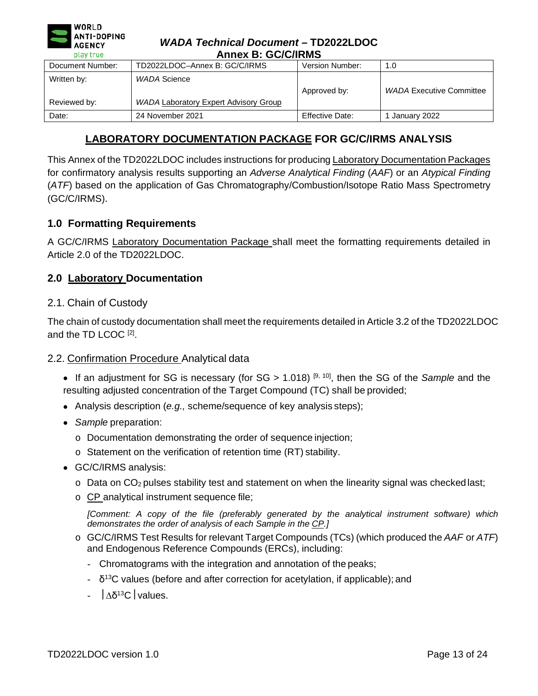| <b>WORLD</b><br>1<br>ANTI-DOPING<br><b>AGENCY</b><br>play true | <b>WADA Technical Document-TD2022LDOC</b><br><b>Annex B: GC/C/IRMS</b> |                        |                                 |
|----------------------------------------------------------------|------------------------------------------------------------------------|------------------------|---------------------------------|
| Document Number:                                               | TD2022LDOC-Annex B: GC/C/IRMS                                          | Version Number:        | 1.0                             |
| Written by:                                                    | <b>WADA Science</b>                                                    |                        |                                 |
|                                                                |                                                                        | Approved by:           | <b>WADA Executive Committee</b> |
| Reviewed by:                                                   | <b>WADA Laboratory Expert Advisory Group</b>                           |                        |                                 |
| Date:                                                          | 24 November 2021                                                       | <b>Effective Date:</b> | January 2022                    |

# **LABORATORY DOCUMENTATION PACKAGE FOR GC/C/IRMS ANALYSIS**

<span id="page-12-0"></span>This Annex of the TD2022LDOC includes instructions for producing Laboratory Documentation Packages for confirmatory analysis results supporting an *Adverse Analytical Finding* (*AAF*) or an *Atypical Finding*  (*ATF*) based on the application of Gas Chromatography/Combustion/Isotope Ratio Mass Spectrometry (GC/C/IRMS).

# **1.0 Formatting Requirements**

A GC/C/IRMS Laboratory Documentation Package shall meet the formatting requirements detailed in Article 2.0 of the TD2022LDOC.

# **2.0 Laboratory Documentation**

### 2.1. Chain of Custody

The chain of custody documentation shall meet the requirements detailed in Article 3.2 of the TD2022LDOC and the TD LCOC [2].

### 2.2. Confirmation Procedure Analytical data

- If an adjustment for SG is necessary (for SG > 1.018) [9, 10], then the SG of the *Sample* and the resulting adjusted concentration of the Target Compound (TC) shall be provided;
- Analysis description (*e.g.,* scheme/sequence of key analysis steps);
- *Sample* preparation:
	- o Documentation demonstrating the order of sequence injection;
	- o Statement on the verification of retention time (RT) stability.
- GC/C/IRMS analysis:
	- $\circ$  Data on CO<sub>2</sub> pulses stability test and statement on when the linearity signal was checked last;
	- o CP analytical instrument sequence file;

*[Comment: A copy of the file (preferably generated by the analytical instrument software) which demonstrates the order of analysis of each Sample in the CP.]*

- o GC/C/IRMS Test Results for relevant Target Compounds (TCs) (which produced the *AAF* or *ATF*) and Endogenous Reference Compounds (ERCs), including:
	- Chromatograms with the integration and annotation of the peaks;
	- $\delta$ <sup>13</sup>C values (before and after correction for acetylation, if applicable); and
	- $|\Delta \delta^{13}C|$  values.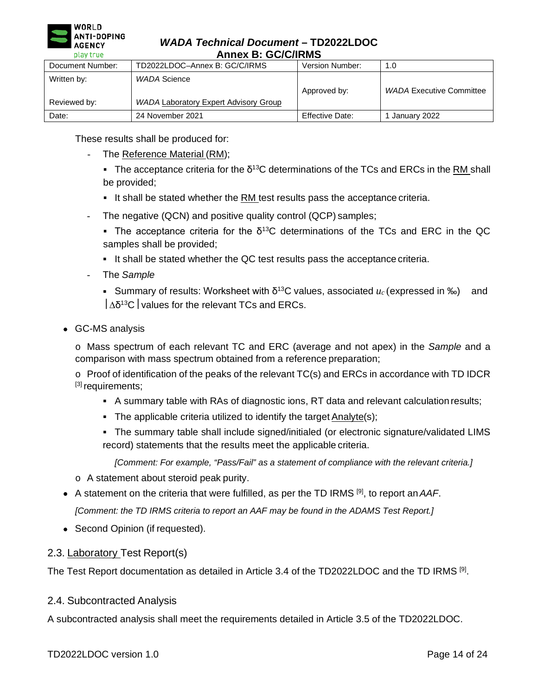

### *WADA Technical Document* **– TD2022LDOC Annex B: GC/C/IRMS**

| --------<br>AIIILA D. OVIOIIIIU |                                              |                 |                                 |
|---------------------------------|----------------------------------------------|-----------------|---------------------------------|
| Document Number:                | TD2022LDOC-Annex B: GC/C/IRMS                | Version Number: | 1.0                             |
| Written by:                     | WADA Science                                 | Approved by:    | <b>WADA Executive Committee</b> |
| Reviewed by:                    | <b>WADA Laboratory Expert Advisory Group</b> |                 |                                 |
| Date:                           | 24 November 2021                             | Effective Date: | January 2022                    |

These results shall be produced for:

- The Reference Material (RM);
	- The acceptance criteria for the  $\delta^{13}$ C determinations of the TCs and ERCs in the RM shall be provided;
	- It shall be stated whether the  $RM$  test results pass the acceptance criteria.
- The negative (QCN) and positive quality control (QCP) samples;
	- The acceptance criteria for the  $\delta^{13}$ C determinations of the TCs and ERC in the QC samples shall be provided;
	- It shall be stated whether the QC test results pass the acceptance criteria.
- The *Sample*
	- Summary of results: Worksheet with δ<sup>13</sup>C values, associated  $u_c$  (expressed in ‰) and  $\vert \Delta \delta^{13}$ C values for the relevant TCs and ERCs.
- GC-MS analysis

o Mass spectrum of each relevant TC and ERC (average and not apex) in the *Sample* and a comparison with mass spectrum obtained from a reference preparation;

o Proof of identification of the peaks of the relevant TC(s) and ERCs in accordance with TD IDCR [3] requirements;

- A summary table with RAs of diagnostic ions, RT data and relevant calculation results;
- The applicable criteria utilized to identify the target Analyte(s);
- The summary table shall include signed/initialed (or electronic signature/validated LIMS record) statements that the results meet the applicable criteria.

*[Comment: For example, "Pass/Fail" as a statement of compliance with the relevant criteria.]*

- o A statement about steroid peak purity.
- A statement on the criteria that were fulfilled, as per the TD IRMS [9], to report an*AAF*.

*[Comment: the TD IRMS criteria to report an AAF may be found in the ADAMS Test Report.]*

• Second Opinion (if requested).

### 2.3. Laboratory Test Report(s)

The Test Report documentation as detailed in Article 3.4 of the TD2022LDOC and the TD IRMS [9].

### 2.4. Subcontracted Analysis

A subcontracted analysis shall meet the requirements detailed in Article 3.5 of the TD2022LDOC.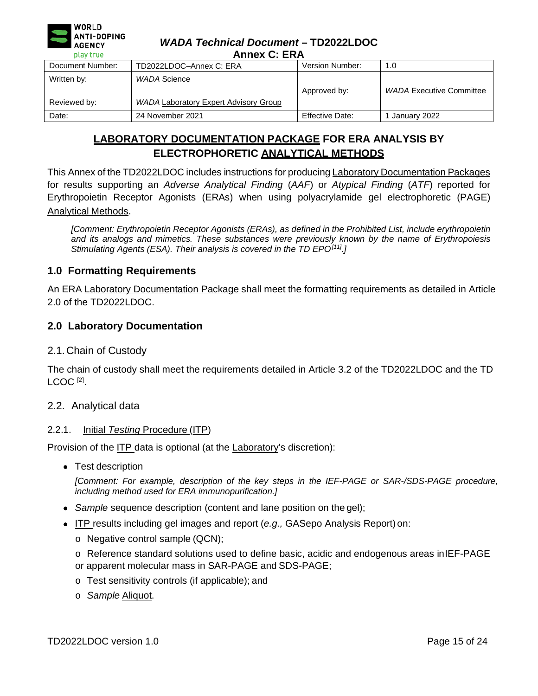

### *WADA Technical Document* **– TD2022LDOC Annex C: ERA**

| --------<br>AIIIYA Y. LIAA  |                                                              |                        |                                 |
|-----------------------------|--------------------------------------------------------------|------------------------|---------------------------------|
| Document Number:            | TD2022LDOC-Annex C: ERA                                      | <b>Version Number:</b> | 1.0                             |
| Written by:<br>Reviewed by: | WADA Science<br><b>WADA Laboratory Expert Advisory Group</b> | Approved by:           | <b>WADA Executive Committee</b> |
| Date:                       | 24 November 2021                                             | Effective Date:        | January 2022                    |

# **LABORATORY DOCUMENTATION PACKAGE FOR ERA ANALYSIS BY ELECTROPHORETIC ANALYTICAL METHODS**

<span id="page-14-0"></span>This Annex of the TD2022LDOC includes instructions for producing Laboratory Documentation Packages for results supporting an *Adverse Analytical Finding* (*AAF*) or *Atypical Finding* (*ATF*) reported for Erythropoietin Receptor Agonists (ERAs) when using polyacrylamide gel electrophoretic (PAGE) Analytical Methods.

*[Comment: Erythropoietin Receptor Agonists (ERAs), as defined in the Prohibited List, include erythropoietin and its analogs and mimetics. These substances were previously known by the name of Erythropoiesis Stimulating Agents (ESA). Their analysis is covered in the TD EPO[11].]*

# **1.0 Formatting Requirements**

An ERA Laboratory Documentation Package shall meet the formatting requirements as detailed in Article 2.0 of the TD2022LDOC.

# **2.0 Laboratory Documentation**

# 2.1.Chain of Custody

The chain of custody shall meet the requirements detailed in Article 3.2 of the TD2022LDOC and the TD LCOC<sup>[2]</sup>.

### 2.2. Analytical data

### 2.2.1. Initial *Testing* Procedure (ITP)

Provision of the ITP data is optional (at the Laboratory's discretion):

• Test description

*[Comment: For example, description of the key steps in the IEF-PAGE or SAR-/SDS-PAGE procedure, including method used for ERA immunopurification.]*

- *Sample* sequence description (content and lane position on the gel);
- ITP results including gel images and report (*e.g.,* GASepo Analysis Report) on:
	- o Negative control sample (QCN);
	- o Reference standard solutions used to define basic, acidic and endogenous areas inIEF-PAGE or apparent molecular mass in SAR-PAGE and SDS-PAGE;
	- o Test sensitivity controls (if applicable); and
	- o *Sample* Aliquot.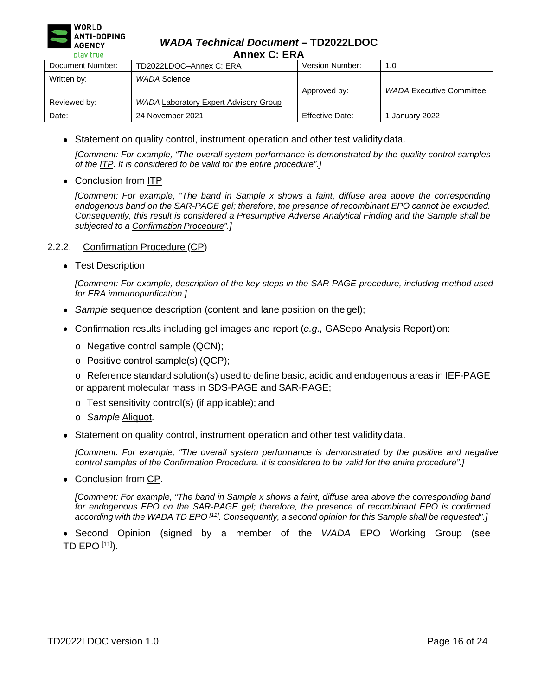

### *WADA Technical Document* **– TD2022LDOC Annex C: ERA**

| --------<br>AURA V. LIVA |                                              |                 |                                 |
|--------------------------|----------------------------------------------|-----------------|---------------------------------|
| Document Number:         | TD2022LDOC-Annex C: ERA                      | Version Number: | 1.0                             |
| Written by:              | WADA Science                                 | Approved by:    | <b>WADA Executive Committee</b> |
| Reviewed by:             | <b>WADA Laboratory Expert Advisory Group</b> |                 |                                 |
| Date:                    | 24 November 2021                             | Effective Date: | January 2022                    |

• Statement on quality control, instrument operation and other test validity data.

*[Comment: For example, "The overall system performance is demonstrated by the quality control samples of the ITP. It is considered to be valid for the entire procedure".]*

• Conclusion from ITP

*[Comment: For example, "The band in Sample x shows a faint, diffuse area above the corresponding endogenous band on the SAR-PAGE gel; therefore, the presence of recombinant EPO cannot be excluded. Consequently, this result is considered a Presumptive Adverse Analytical Finding and the Sample shall be subjected to a Confirmation Procedure".]*

### 2.2.2. Confirmation Procedure (CP)

• Test Description

*[Comment: For example, description of the key steps in the SAR-PAGE procedure, including method used for ERA immunopurification.]*

- *Sample* sequence description (content and lane position on the gel);
- Confirmation results including gel images and report (*e.g.,* GASepo Analysis Report)on:
	- o Negative control sample (QCN);
	- o Positive control sample(s) (QCP);
	- o Reference standard solution(s) used to define basic, acidic and endogenous areas in IEF-PAGE or apparent molecular mass in SDS-PAGE and SAR-PAGE;
	- o Test sensitivity control(s) (if applicable); and
	- o *Sample* Aliquot.
- Statement on quality control, instrument operation and other test validity data.

*[Comment: For example, "The overall system performance is demonstrated by the positive and negative control samples of the Confirmation Procedure. It is considered to be valid for the entire procedure".]*

• Conclusion from CP.

*[Comment: For example, "The band in Sample x shows a faint, diffuse area above the corresponding band for endogenous EPO on the SAR-PAGE gel; therefore, the presence of recombinant EPO is confirmed according with the WADA TD EPO [11]. Consequently, a second opinion for this Sample shall be requested".]*

• Second Opinion (signed by a member of the *WADA* EPO Working Group (see TD EPO [11]).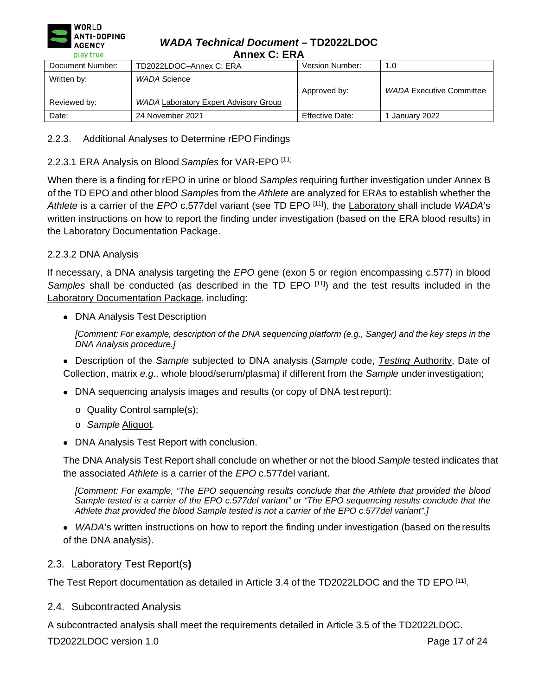

### *WADA Technical Document* **– TD2022LDOC Annex C: ERA**

| AIIIIGA V. LIVA  |                                       |                 |                                 |
|------------------|---------------------------------------|-----------------|---------------------------------|
| Document Number: | TD2022LDOC-Annex C: ERA               | Version Number: | 1.0                             |
| Written by:      | WADA Science                          | Approved by:    | <b>WADA Executive Committee</b> |
| Reviewed by:     | WADA Laboratory Expert Advisory Group |                 |                                 |
| Date:            | 24 November 2021                      | Effective Date: | January 2022                    |

# 2.2.3. Additional Analyses to Determine rEPO Findings

# 2.2.3.1 ERA Analysis on Blood *Samples* for VAR-EPO [11]

When there is a finding for rEPO in urine or blood *Samples* requiring further investigation under Annex B of the TD EPO and other blood *Samples* from the *Athlete* are analyzed for ERAs to establish whether the *Athlete* is a carrier of the *EPO* c.577del variant (see TD EPO [11]), the Laboratory shall include *WADA*'s written instructions on how to report the finding under investigation (based on the ERA blood results) in the Laboratory Documentation Package.

# 2.2.3.2 DNA Analysis

If necessary, a DNA analysis targeting the *EPO* gene (exon 5 or region encompassing c.577) in blood Samples shall be conducted (as described in the TD EPO [11]) and the test results included in the Laboratory Documentation Package, including:

• DNA Analysis Test Description

[Comment: For example, description of the DNA sequencing platform (e.g., Sanger) and the key steps in the *DNA Analysis procedure.]*

• Description of the *Sample* subjected to DNA analysis (*Sample* code, *Testing* Authority, Date of Collection, matrix *e.g.,* whole blood/serum/plasma) if different from the *Sample* underinvestigation;

- DNA sequencing analysis images and results (or copy of DNA test report):
	- o Quality Control sample(s);
	- o *Sample* Aliquot.
- DNA Analysis Test Report with conclusion.

The DNA Analysis Test Report shall conclude on whether or not the blood *Sample* tested indicates that the associated *Athlete* is a carrier of the *EPO* c.577del variant.

*[Comment: For example, "The EPO sequencing results conclude that the Athlete that provided the blood Sample tested is a carrier of the EPO c.577del variant" or "The EPO sequencing results conclude that the Athlete that provided the blood Sample tested is not a carrier of the EPO c.577del variant".]*

• *WADA*'s written instructions on how to report the finding under investigation (based on the results of the DNA analysis).

# 2.3. Laboratory Test Report(s**)**

The Test Report documentation as detailed in Article 3.4 of the TD2022LDOC and the TD EPO [11].

2.4. Subcontracted Analysis

A subcontracted analysis shall meet the requirements detailed in Article 3.5 of the TD2022LDOC.

TD2022LDOC version 1.0 **Page 17 of 24** Page 17 of 24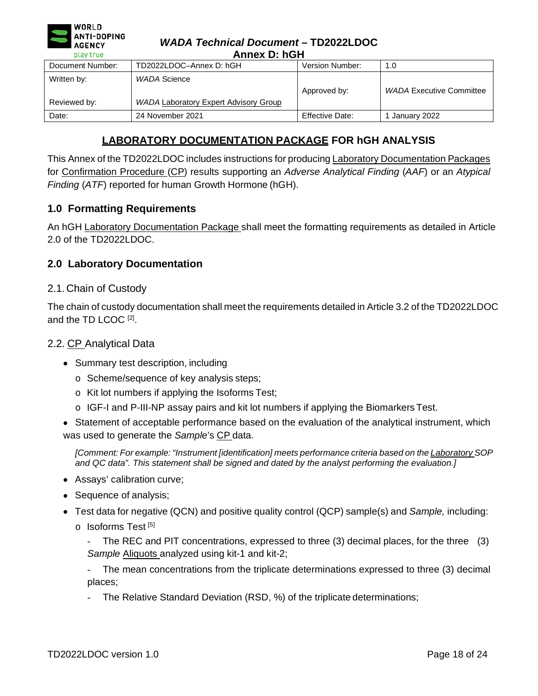| <b>ANTI-DOPING</b><br><b>AGENCY</b><br>play true | <b>WADA Technical Document - TD2022LDOC</b><br>Annex D: hGH |                        |                                 |
|--------------------------------------------------|-------------------------------------------------------------|------------------------|---------------------------------|
| Document Number:                                 | TD2022LDOC-Annex D: hGH                                     | Version Number:        | 1.0                             |
| Written by:                                      | <b>WADA Science</b>                                         | Approved by:           | <b>WADA Executive Committee</b> |
| Reviewed by:                                     | <b>WADA Laboratory Expert Advisory Group</b>                |                        |                                 |
| Date:                                            | 24 November 2021                                            | <b>Effective Date:</b> | 1 January 2022                  |

# **LABORATORY DOCUMENTATION PACKAGE FOR hGH ANALYSIS**

<span id="page-17-0"></span>This Annex of the TD2022LDOC includes instructions for producing Laboratory Documentation Packages for Confirmation Procedure (CP) results supporting an *Adverse Analytical Finding* (*AAF*) or an *Atypical Finding* (*ATF*) reported for human Growth Hormone (hGH).

# **1.0 Formatting Requirements**

An hGH Laboratory Documentation Package shall meet the formatting requirements as detailed in Article 2.0 of the TD2022LDOC.

### **2.0 Laboratory Documentation**

### 2.1.Chain of Custody

 $\blacksquare$  WORLD

The chain of custody documentation shall meet the requirements detailed in Article 3.2 of the TD2022LDOC and the TD LCOC [2].

### 2.2. CP Analytical Data

- Summary test description, including
	- o Scheme/sequence of key analysis steps;
	- o Kit lot numbers if applying the Isoforms Test;
	- $\circ$  IGF-I and P-III-NP assay pairs and kit lot numbers if applying the Biomarkers Test.
- Statement of acceptable performance based on the evaluation of the analytical instrument, which was used to generate the *Sample*'s CP data.

*[Comment: For example: "Instrument [identification] meets performance criteria based on the Laboratory SOP and QC data". This statement shall be signed and dated by the analyst performing the evaluation.]*

- Assays' calibration curve;
- Sequence of analysis;
- Test data for negative (QCN) and positive quality control (QCP) sample(s) and *Sample,* including:
	- o Isoforms Test<sup>[5]</sup>

The REC and PIT concentrations, expressed to three (3) decimal places, for the three (3) *Sample* Aliquots analyzed using kit-1 and kit-2;

The mean concentrations from the triplicate determinations expressed to three (3) decimal places;

The Relative Standard Deviation (RSD, %) of the triplicate determinations;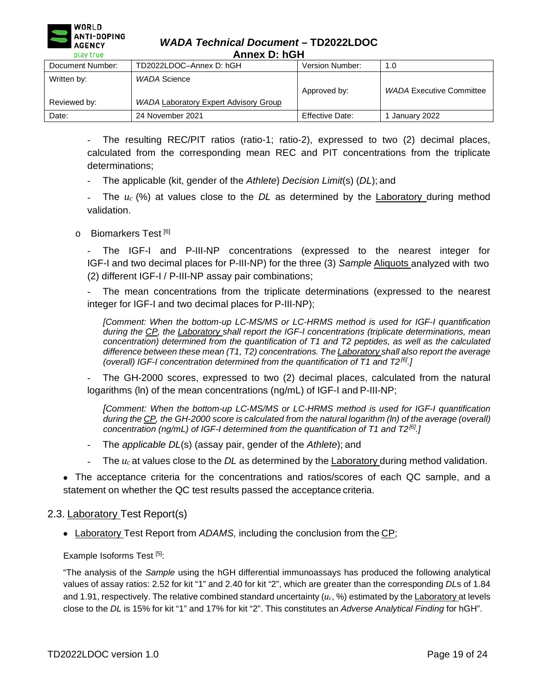

*WADA Technical Document* **– TD2022LDOC Annex D: hGH**

| АШКА Р. НЭН      |                                              |                 |                                 |
|------------------|----------------------------------------------|-----------------|---------------------------------|
| Document Number: | TD2022LDOC-Annex D: hGH                      | Version Number: | 1.0                             |
| Written by:      | WADA Science                                 | Approved by:    | <b>WADA Executive Committee</b> |
| Reviewed by:     | <b>WADA Laboratory Expert Advisory Group</b> |                 |                                 |
| Date:            | 24 November 2021                             | Effective Date: | January 2022                    |

The resulting REC/PIT ratios (ratio-1; ratio-2), expressed to two (2) decimal places, calculated from the corresponding mean REC and PIT concentrations from the triplicate determinations;

- The applicable (kit, gender of the *Athlete*) *Decision Limit*(s) (*DL*); and

- The *uc* (%) at values close to the *DL* as determined by the Laboratory during method validation.

### o Biomarkers Test [6]

The IGF-I and P-III-NP concentrations (expressed to the nearest integer for IGF-I and two decimal places for P-III-NP) for the three (3) *Sample* Aliquots analyzed with two (2) different IGF-I / P-III-NP assay pair combinations;

The mean concentrations from the triplicate determinations (expressed to the nearest integer for IGF-I and two decimal places for P-III-NP);

*[Comment: When the bottom-up LC-MS/MS or LC-HRMS method is used for IGF-I quantification during the CP, the Laboratory shall report the IGF-I concentrations (triplicate determinations, mean concentration) determined from the quantification of T1 and T2 peptides, as well as the calculated difference between these mean (T1, T2) concentrations. The Laboratory shall also report the average (overall) IGF-I concentration determined from the quantification of T1 and T2[6].]*

The GH-2000 scores, expressed to two (2) decimal places, calculated from the natural logarithms (ln) of the mean concentrations (ng/mL) of IGF-I and P-III-NP;

*[Comment: When the bottom-up LC-MS/MS or LC-HRMS method is used for IGF-I quantification during the CP, the GH-2000 score is calculated from the natural logarithm (ln) of the average (overall) concentration (ng/mL) of IGF-I determined from the quantification of T1 and T2[6].]*

- The *applicable DL*(s) (assay pair, gender of the *Athlete*); and
- The  $u_c$  at values close to the *DL* as determined by the Laboratory during method validation.

• The acceptance criteria for the concentrations and ratios/scores of each QC sample, and a statement on whether the QC test results passed the acceptance criteria.

### 2.3. Laboratory Test Report(s)

• Laboratory Test Report from *ADAMS,* including the conclusion from the CP;

Example Isoforms Test [5]:

"The analysis of the *Sample* using the hGH differential immunoassays has produced the following analytical values of assay ratios: 2.52 for kit "1" and 2.40 for kit "2", which are greater than the corresponding *DL*s of 1.84 and 1.91, respectively. The relative combined standard uncertainty (*uc*, %) estimated by the Laboratory at levels close to the *DL* is 15% for kit "1" and 17% for kit "2". This constitutes an *Adverse Analytical Finding* for hGH".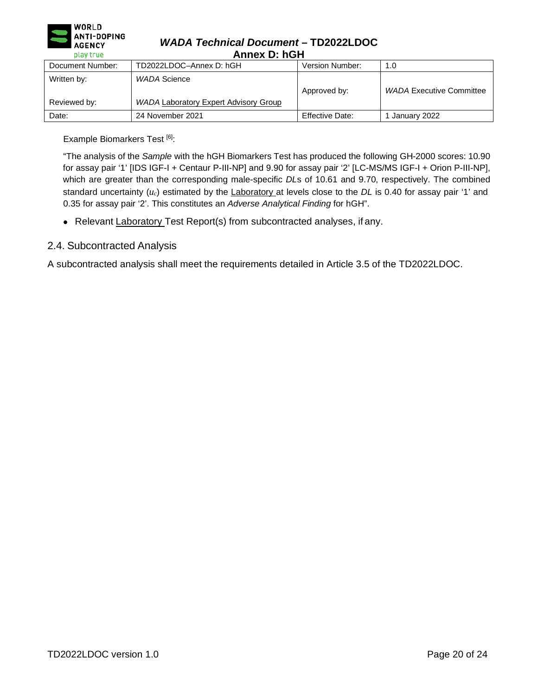

### *WADA Technical Document* **– TD2022LDOC Annex D: hGH**

| лшса р. пон                 |                                                              |                 |                                 |
|-----------------------------|--------------------------------------------------------------|-----------------|---------------------------------|
| Document Number:            | TD2022LDOC-Annex D: hGH                                      | Version Number: | 1.0                             |
| Written by:<br>Reviewed by: | WADA Science<br><b>WADA Laboratory Expert Advisory Group</b> | Approved by:    | <b>WADA Executive Committee</b> |
| Date:                       | 24 November 2021                                             | Effective Date: | January 2022                    |

Example Biomarkers Test [6]:

"The analysis of the *Sample* with the hGH Biomarkers Test has produced the following GH-2000 scores: 10.90 for assay pair '1' [IDS IGF-I + Centaur P-III-NP] and 9.90 for assay pair '2' [LC-MS/MS IGF-I + Orion P-III-NP], which are greater than the corresponding male-specific *DLs* of 10.61 and 9.70, respectively. The combined standard uncertainty (*uc*) estimated by the Laboratory at levels close to the *DL* is 0.40 for assay pair '1' and 0.35 for assay pair '2'. This constitutes an *Adverse Analytical Finding* for hGH".

• Relevant Laboratory Test Report(s) from subcontracted analyses, if any.

# 2.4. Subcontracted Analysis

A subcontracted analysis shall meet the requirements detailed in Article 3.5 of the TD2022LDOC.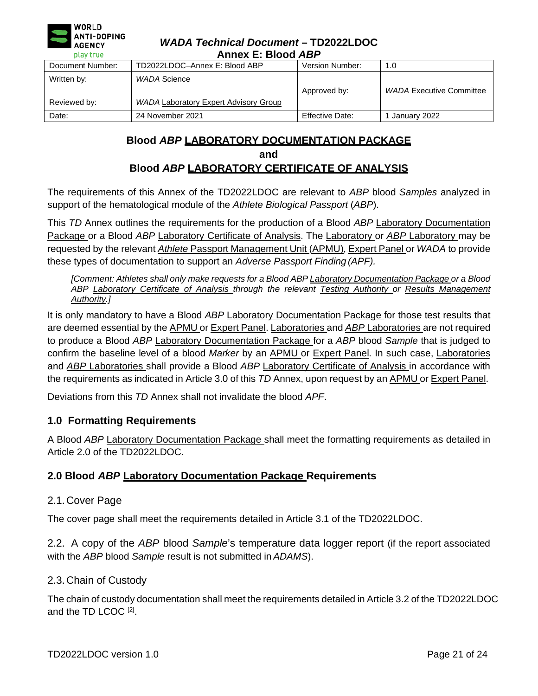| ANTI-DOPING<br><b>AGENCY</b><br>play true | <b>WADA Technical Document - TD2022LDOC</b><br>Annex E: Blood ABP |                        |                                 |
|-------------------------------------------|-------------------------------------------------------------------|------------------------|---------------------------------|
| Document Number:                          | TD2022LDOC-Annex E: Blood ABP                                     | Version Number:        | 1.0                             |
| Written by:                               | WADA Science                                                      | Approved by:           | <b>WADA Executive Committee</b> |
| Reviewed by:                              | <b>WADA Laboratory Expert Advisory Group</b>                      |                        |                                 |
| Date:                                     | 24 November 2021                                                  | <b>Effective Date:</b> | 1 January 2022                  |

# **Blood** *ABP* **LABORATORY DOCUMENTATION PACKAGE and Blood** *ABP* **LABORATORY CERTIFICATE OF ANALYSIS**

<span id="page-20-0"></span>The requirements of this Annex of the TD2022LDOC are relevant to *ABP* blood *Samples* analyzed in support of the hematological module of the *Athlete Biological Passport* (*ABP*).

This *TD* Annex outlines the requirements for the production of a Blood *ABP* Laboratory Documentation Package or a Blood *ABP* Laboratory Certificate of Analysis. The Laboratory or *ABP* Laboratory may be requested by the relevant *Athlete* Passport Management Unit (APMU), Expert Panel or *WADA* to provide these types of documentation to support an *Adverse Passport Finding (APF).*

*[Comment: Athletes shall only make requests for a Blood ABP Laboratory Documentation Package or a Blood ABP Laboratory Certificate of Analysis through the relevant Testing Authority or Results Management Authority.]*

It is only mandatory to have a Blood *ABP* Laboratory Documentation Package for those test results that are deemed essential by the APMU or Expert Panel. Laboratories and *ABP* Laboratories are not required to produce a Blood *ABP* Laboratory Documentation Package for a *ABP* blood *Sample* that is judged to confirm the baseline level of a blood *Marker* by an APMU or Expert Panel. In such case, Laboratories and *ABP* Laboratories shall provide a Blood *ABP* Laboratory Certificate of Analysis in accordance with the requirements as indicated in Article 3.0 of this *TD* Annex, upon request by an APMU or Expert Panel.

Deviations from this *TD* Annex shall not invalidate the blood *APF*.

# **1.0 Formatting Requirements**

A Blood *ABP* Laboratory Documentation Package shall meet the formatting requirements as detailed in Article 2.0 of the TD2022LDOC.

# **2.0 Blood** *ABP* **Laboratory Documentation Package Requirements**

# 2.1.Cover Page

**WORLD** 

The cover page shall meet the requirements detailed in Article 3.1 of the TD2022LDOC.

2.2. A copy of the *ABP* blood *Sample*'s temperature data logger report (if the report associated with the *ABP* blood *Sample* result is not submitted in *ADAMS*).

# 2.3.Chain of Custody

The chain of custody documentation shall meet the requirements detailed in Article 3.2 of the TD2022LDOC and the TD LCOC [2].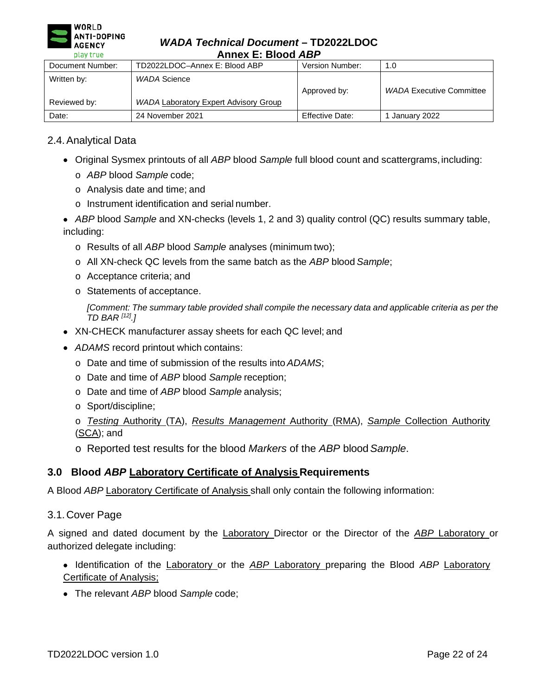

### *WADA Technical Document* **– TD2022LDOC Annex E: Blood** *ABP*

| --------<br>AIIICA L. DIVVU ADI |                                                              |                 |                                 |
|---------------------------------|--------------------------------------------------------------|-----------------|---------------------------------|
| Document Number:                | TD2022LDOC-Annex E: Blood ABP                                | Version Number: | 1.0                             |
| Written by:<br>Reviewed by:     | WADA Science<br><b>WADA Laboratory Expert Advisory Group</b> | Approved by:    | <b>WADA Executive Committee</b> |
| Date:                           | 24 November 2021                                             | Effective Date: | January 2022                    |

# 2.4.Analytical Data

- Original Sysmex printouts of all *ABP* blood *Sample* full blood count and scattergrams,including:
	- o *ABP* blood *Sample* code;
	- o Analysis date and time; and
	- o Instrument identification and serial number.

• *ABP* blood *Sample* and XN-checks (levels 1, 2 and 3) quality control (QC) results summary table, including:

- o Results of all *ABP* blood *Sample* analyses (minimum two);
- o All XN-check QC levels from the same batch as the *ABP* blood *Sample*;
- o Acceptance criteria; and
- o Statements of acceptance.

*[Comment: The summary table provided shall compile the necessary data and applicable criteria as per the TD BAR [12].]*

- XN-CHECK manufacturer assay sheets for each QC level; and
- *ADAMS* record printout which contains:
	- o Date and time of submission of the results into *ADAMS*;
	- o Date and time of *ABP* blood *Sample* reception;
	- o Date and time of *ABP* blood *Sample* analysis;
	- o Sport/discipline;
	- o *Testing* Authority (TA), *Results Management* Authority (RMA), *Sample* Collection Authority (SCA); and
	- o Reported test results for the blood *Markers* of the *ABP* blood*Sample*.

### **3.0 Blood** *ABP* **Laboratory Certificate of Analysis Requirements**

A Blood *ABP* Laboratory Certificate of Analysis shall only contain the following information:

3.1.Cover Page

A signed and dated document by the Laboratory Director or the Director of the *ABP* Laboratory or authorized delegate including:

- Identification of the Laboratory or the *ABP* Laboratory preparing the Blood *ABP* Laboratory Certificate of Analysis;
- The relevant *ABP* blood *Sample* code;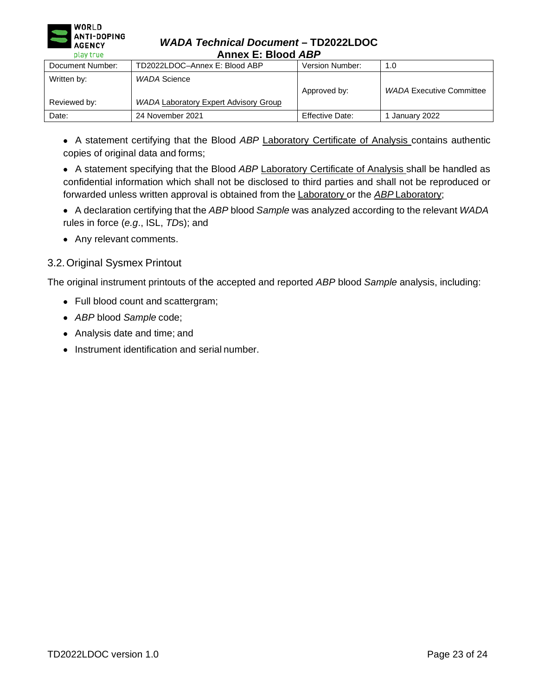

### *WADA Technical Document* **– TD2022LDOC Annex E: Blood** *ABP*

| Document Number:            | TD2022LDOC-Annex E: Blood ABP                                | Version Number: | 1.0                             |
|-----------------------------|--------------------------------------------------------------|-----------------|---------------------------------|
| Written by:<br>Reviewed by: | WADA Science<br><b>WADA Laboratory Expert Advisory Group</b> | Approved by:    | <b>WADA Executive Committee</b> |
| Date:                       | 24 November 2021                                             | Effective Date: | January 2022                    |

• A statement certifying that the Blood *ABP* Laboratory Certificate of Analysis contains authentic copies of original data and forms;

• A statement specifying that the Blood *ABP* Laboratory Certificate of Analysis shall be handled as confidential information which shall not be disclosed to third parties and shall not be reproduced or forwarded unless written approval is obtained from the Laboratory or the *ABP* Laboratory;

- A declaration certifying that the *ABP* blood *Sample* was analyzed according to the relevant *WADA* rules in force (*e.g*., ISL, *TD*s); and
- Any relevant comments.

# 3.2.Original Sysmex Printout

The original instrument printouts of the accepted and reported *ABP* blood *Sample* analysis, including:

- Full blood count and scattergram;
- *ABP* blood *Sample* code;
- Analysis date and time; and
- Instrument identification and serial number.